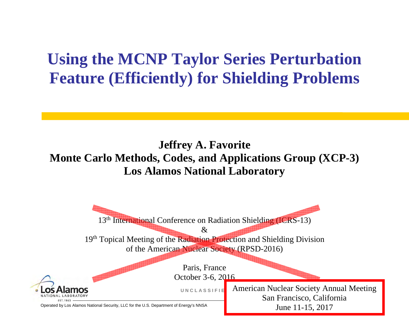# **Using the MCNP Taylor Series Perturbation Feature (Efficiently) for Shielding Problems**

#### **Jeffrey A. Favorite Monte Carlo Methods, Codes, and Applications Group (XCP-3) Los Alamos National Laboratory**

Operated by Los Alamos National Security, LLC for the U.S. Department of Energy's NNSA **U N C L A S S I F I E D**13<sup>th</sup> International Conference on Radiation Shielding (ICRS-13)  $\mathcal{R}_{\mathcal{I}}$ 19<sup>th</sup> Topical Meeting of the Radiation Protection and Shielding Division of the American Nuclear Society (RPSD-2016) Paris, France October 3-6, 2016 American Nuclear Society Annual Meeting San Francisco, California June 11-15, 2017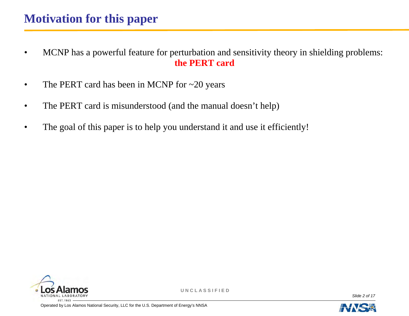- MCNP has a powerful feature for perturbation and sensitivity theory in shielding problems: **the PERT card**
- The PERT card has been in MCNP for ~20 years
- The PERT card is misunderstood (and the manual doesn't help)
- The goal of this paper is to help you understand it and use it efficiently!



**U N C L A S S I F I E D**

*Slide 2 of 17* 

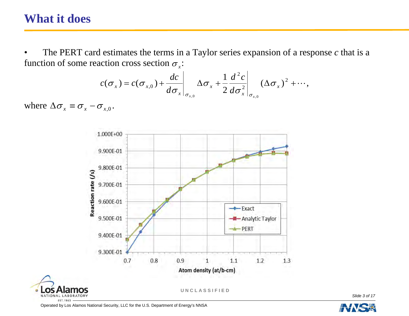## **What it does**

• The PERT card estimates the terms in a Taylor series expansion of a response *c* that is a function of some reaction cross section  $\sigma_{\rm x}$ :

$$
c(\sigma_x) = c(\sigma_{x,0}) + \frac{dc}{d\sigma_x}\bigg|_{\sigma_{x,0}} \Delta \sigma_x + \frac{1}{2} \frac{d^2 c}{d\sigma_x^2}\bigg|_{\sigma_{x,0}} (\Delta \sigma_x)^2 + \cdots,
$$

where  $\Delta \sigma_x \equiv \sigma_x - \sigma_{x,0}$ .



Operated by Los Alamos National Security, LLC for the U.S. Department of Energy's NNSA



*Slide 3 of 17*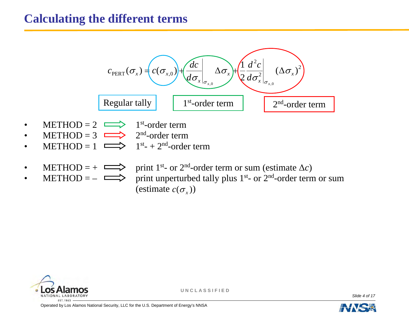#### **Calculating the different terms**



• METHOD =  $\implies$  print unperturbed tally plus 1<sup>st</sup>- or 2<sup>nd</sup>-order term or sum (estimate  $c(\sigma_x)$ )



**U N C L A S S I F I E D**

*Slide 4 of 17* 

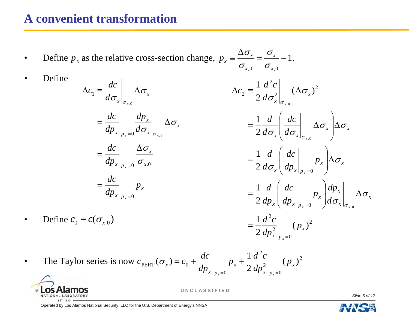#### **A convenient transformation**

• Define  $p_x$  as the relative cross-section change,  $p_x = \frac{p_x}{n_x} = \frac{p_x}{n_x} - 1$ .  $=$   $\equiv \frac{\Delta}{\sqrt{2}}$ *x*  $p_x \equiv \frac{\partial}{\partial x} \frac{\partial}{\partial x} = \frac{\partial}{\partial x}$ 

 $\sigma_{\rm x}$ 

• Define

$$
\Delta c_1 \equiv \frac{dc}{d\sigma_x}\Big|_{\sigma_{x,0}} \Delta \sigma_x
$$
  
= 
$$
\frac{dc}{dp_x}\Big|_{p_x=0} \frac{dp_x}{d\sigma_x}\Big|_{\sigma_{x,0}} \Delta
$$
  
= 
$$
\frac{dc}{dp_x}\Big|_{p_x=0} \frac{\Delta \sigma_x}{\sigma_{x,0}}
$$
  
= 
$$
\frac{dc}{dp_x}\Big|_{p_x=0} p_x
$$

 $\overline{1}$ 

 $,0 \t y_{x,0}$ *x x*  $\sigma$  $\sigma$  $\sigma$ 2 $2\,dp_{_X}\bigl(\left. dp_{_X}\right|_{p_{_X}=0}$  $2\,d\sigma_{_{\scriptscriptstyle X}}\bigl(\left. d\hspace{0.5pt} p_{_{\scriptscriptstyle X}}\right|_{_{\scriptscriptstyle D_{\scriptscriptstyle v}}=0}$  $\left. \frac{2}{2}\right| \quad \left( \Delta \sigma_{_{X}} \right)^2$ 2  $\sigma_z \equiv \frac{1}{2} \frac{d^2 c}{d \sigma^2} \quad (\Delta \sigma_x)$ 1 1 2 1 0, 0, 0, *x* $\frac{1}{1}$  $\frac{d}{d p_{x}} \left( \frac{d c}{d p_{x}} \right)_{n=0} p_{x} \left| \frac{d p}{d \sigma_{y}} \right|$  $\lambda \lambda + \lambda p$ *x* |  $\overline{\phantom{0}}$  *x*  $\frac{1}{x}$  $\left[\frac{1}{dp_x}\right]_{p=0}$  $p$  $\lambda \lambda + \lambda p$ *x* | *x*  $\int_x$   $d\sigma_x$ *x*  $d\sigma _{_{\rm X}}^2$ *dc d d dc d d*  $\Delta c_2 = \frac{1}{2} \frac{d^2 c}{d \sigma_x^2} \bigg|_{\sigma_x, \rho}$ *xx x x xxx*=  $\Delta$  $=\frac{1}{2}\frac{d}{dp_x}\left(\frac{dc}{dp_x}\bigg|_{p_x=0}p_x\right)\frac{dp_x}{d\sigma_x}\bigg|_{\sigma_{x,0}}$  $=\frac{1}{2}\frac{d}{d\sigma_{x}}\left(\frac{dc}{dp_{x}}\bigg|_{p_{x}=0}p_{x}\right)$  $=\frac{1}{2}\frac{d}{d\sigma_x}\left(\frac{dc}{d\sigma_x}\bigg|_{\sigma_{x,0}}\Delta\sigma_x\right)\Delta$  $\left.\frac{\partial \mathcal{L}_x}{\partial x}\right|_{\sigma_{x,0}} \Delta \sigma$  $\overline{\sigma}_{x}$   $\overline{dp}_{y}$   $\overline{p}_{x}$   $\Delta \sigma$  $\left|\overline{\sigma_{\overline{x}}}\right| \left|\overline{d\sigma_{\overline{x}}}\right|_{\sigma_{\overline{x},0}} \Delta \sigma_{\overline{x}} \left| \Delta \sigma_{\overline{x}}\right|$ 

$$
=\frac{1}{2}\frac{d^2c}{dp_x^2}\bigg|_{p_x=0}(p_x)^2
$$

• The Taylor series is now  $c_{\text{pergr}}(\sigma_x) = c_0 + \frac{ac}{\sigma_x} \left( \frac{\sigma_x}{\sigma_x} + \frac{1}{2} \frac{a}{\sigma_x} \frac{c}{\sigma_x^2} \right)$ 02 2 0PERT $c_{\text{PERT}}(\sigma_x) = c_0 + \frac{dc}{dp_x}\bigg|_{p_x=0} p_x + \frac{1}{2}\frac{d^2c}{dp_x^2}\bigg|_{p_x=0} (p_x)$ 



• Define  $c_0 \equiv c(\sigma_{x,0})$ 

**U N C L A S S I F I E D**

*Slide 5 of 17* 

*x*

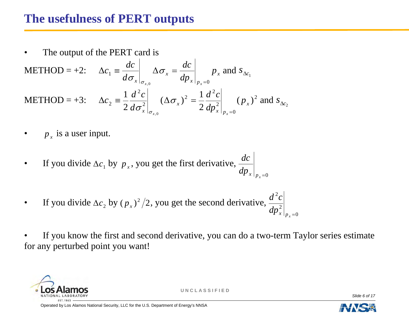## **The usefulness of PERT outputs**

The output of the PERT card is

$$
\begin{aligned}\n\text{METHOD} &= +2: \quad \Delta c_1 \equiv \frac{dc}{d\sigma_x}\bigg|_{\sigma_{x,0}} \Delta \sigma_x = \frac{dc}{dp_x}\bigg|_{p_x=0} p_x \text{ and } s_{\Delta c_1} \\
\text{METHOD} &= +3: \quad \Delta c_2 \equiv \frac{1}{2} \frac{d^2 c}{d\sigma_x^2}\bigg|_{\sigma_{x,0}} (\Delta \sigma_x)^2 = \frac{1}{2} \frac{d^2 c}{dp_x^2}\bigg|_{p_x=0} (p_x)^2 \text{ and } s_{\Delta c_2}\n\end{aligned}
$$

- $p_{x}$  is a user input.
- If you divide  $\Delta c_1$  by  $p_x$ , you get the first derivative,  $\displaystyle \left. dp_x\right|_{p_x=0}$ *dc*
- If you divide  $\Delta c_2$  by  $(p_x)^2/2$ , you get the second derivative,  $\frac{a}{p_x^2}$ 2  $\left. dp_x^2 \right|_{p_x=0}$  $d^{\textit{z}}c$

If you know the first and second derivative, you can do a two-term Taylor series estimate for any perturbed point you want!



**U N C L A S S I F I E D**

*Slide 6 of 17* 

Operated by Los Alamos National Security, LLC for the U.S. Department of Energy's NNSA



0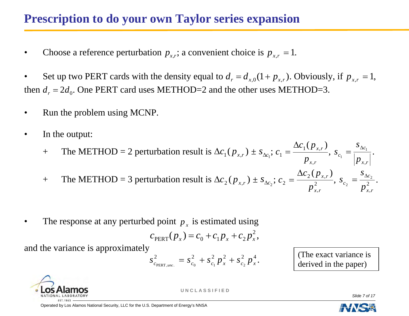## **Prescription to do your own Taylor series expansion**

• Choose a reference perturbation  $p_{x,r}$ ; a convenient choice is  $p_{x,r} = 1$ .

• Set up two PERT cards with the density equal to  $d_r = d_{x,0}(1 + p_{x,r})$ . Obviously, if  $p_{x,r} = 1$ , then  $d_r = 2d_0$ . One PERT card uses METHOD=2 and the other uses METHOD=3.

- Run the problem using MCNP.
- In the output:

+ The METHOD = 2 perturbation result is  $\Delta c_1(p_{x,r}) \pm s_{\Delta c_1}$ ; *rx p*  $c_1$ <sub>( $p$ </sub> *c*  $1 \vee F x$ , 1  $=\frac{\Delta c_1(p_{x,r})}{\Delta c_1(p_{x,r})},$ *c c p*  $s_{\circ} = -$ 1 1  $=\frac{\partial \Delta c_1}{\partial \Delta c_1}.$ 

+ The METHOD = 3 perturbation result is  $\Delta c_2(p_{x,r}) \pm s_{\Delta c_2}$ ;  $c_2 = \frac{\Delta c_2 \sqrt{P_{x,r}}}{r^2}$ 2  $(p_{\rm r,r})$ *rxrx p*  $c_2$ <sub>(p</sub>*c*  $=\frac{\Delta c_2(p_{x,r})}{r^2}, s_{c_2}=\frac{s_{\Delta c}}{r^2}$ 2 <sup>2</sup>  $p_{x,r}^2$ *c c p*  $s_{\circ} = =\frac{\partial \Delta c_2}{\partial}$ .

• The response at any perturbed point  $p_x$  is estimated using

$$
c_{\text{PERT}}(p_x) = c_0 + c_1 p_x + c_2 p_x^2,
$$

and the variance is approximately

$$
s_{c_{\text{PERT},\text{unc.}}}^2 = s_{c_0}^2 + s_{c_1}^2 p_x^2 + s_{c_2}^2 p_x^4.
$$
 (The exact variance is derived in the paper)

*rx*

,

,



**U N C L A S S I F I E D**

*Slide 7 of 17* 

*rx*

,

,

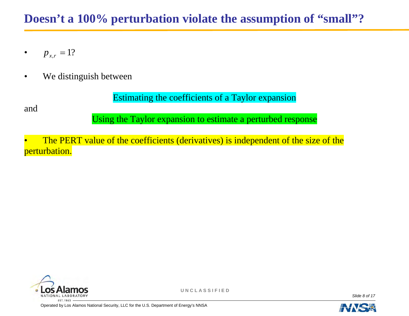## **Doesn't a 100% perturbation violate the assumption of "small"?**

- $p_{x,r} = 1$ ?
- We distinguish between

Estimating the coefficients of a Taylor expansion

and

Using the Taylor expansion to estimate a perturbed response

The PERT value of the coefficients (derivatives) is independent of the size of the perturbation.



**U N C L A S S I F I E D**

*Slide 8 of 17* 

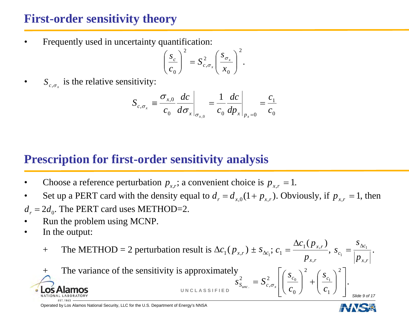## **First-order sensitivity theory**

Frequently used in uncertainty quantification:

$$
\left(\frac{s_c}{c_0}\right)^2 = S_{c,\sigma_x}^2 \left(\frac{s_{\sigma_x}}{x_0}\right)^2
$$

•  $S_{c,\sigma_{x}}$  is the relative sensitivity:

$$
S_{c,\sigma_{x}} \equiv \frac{\sigma_{x,0}}{c_{0}} \frac{dc}{d\sigma_{x}} \bigg|_{\sigma_{x,0}} = \frac{1}{c_{0}} \frac{dc}{dp_{x}} \bigg|_{p_{x}=0} = \frac{c_{1}}{c_{0}}
$$

## **Prescription for first-order sensitivity analysis**

- Choose a reference perturbation  $p_{x,r}$ ; a convenient choice is  $p_{x,r} = 1$ .
- Set up a PERT card with the density equal to  $d_r = d_{x,0}(1 + p_{x,r})$ . Obviously, if  $p_{x,r} = 1$ , then
- $d_r = 2d_0$ . The PERT card uses METHOD=2.
- Run the problem using MCNP.
- In the output:

+ The METHOD = 2 perturbation result is  $\Delta c_1(p_{x,r}) \pm s_{\Delta c_1}$ ;  $c_1 = \frac{-c_1(r_{r,x,r})}{r_{r,x,r}}$  $c_1$ (*p c*  $1 \vee F x$ , 1  $=\frac{\Delta c_1(p_{x,r})}{\Delta}$  $S_{\circ} = \frac{S}{I}$ 1  $=\frac{\partial \Delta c_1}{\partial \Delta c_1}.$ 

$$
P_{x,r} = \sum_{c_1} P_{x,r} = \sum_{c_1} P_{x,r} = \sum_{c_1} P_{x,r} = \sum_{c_1} P_{x,r} = \sum_{c_1} P_{x,r} = \sum_{c_1} P_{x,r} = \sum_{c_1} P_{x,r} = \sum_{c_1} P_{x,r}
$$
\n**10.26 Alamos**

\n**10.37 10.41** LABORATORY

\n**11.1943 12.11943 13.11943 14.110 NAL LABORATORY**

Operated by Los Alamos National Security, LLC for the U.S. Department of Energy's NNSA



*c*

1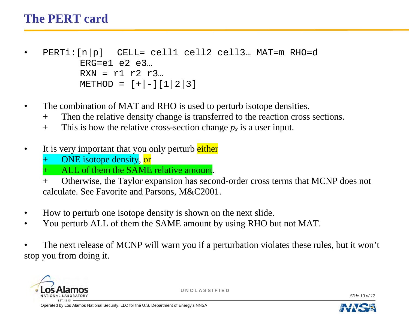## **The PERT card**

- PERTi:[n|p] CELL= cell1 cell2 cell3… MAT=m RHO=d  $ERG= e1 e2 e3...$  $RXN = r1 r2 r3...$  $METHOD = [+|-][1|2|3]$
- The combination of MAT and RHO is used to perturb isotope densities.
	- + Then the relative density change is transferred to the reaction cross sections.
	- $+$  This is how the relative cross-section change  $p_x$  is a user input.
- It is very important that you only perturb either
	- ONE isotope density, or
	- ALL of them the SAME relative amount.
	- + Otherwise, the Taylor expansion has second-order cross terms that MCNP does not calculate. See Favorite and Parsons, M&C2001.
- How to perturb one isotope density is shown on the next slide.
- You perturb ALL of them the SAME amount by using RHO but not MAT.
- The next release of MCNP will warn you if a perturbation violates these rules, but it won't stop you from doing it.



**U N C L A S S I F I E D**

*Slide 10 of 17* 

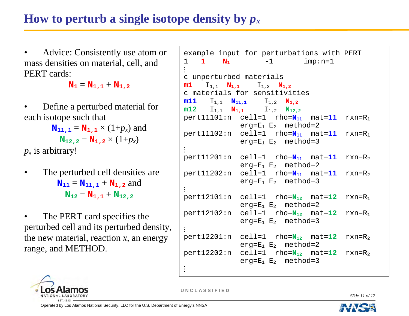## **How to perturb a single isotope density by** *px*

• Advice: Consistently use atom or mass densities on material, cell, and PERT cards:

 $N_1 = N_{1,1} + N_{1,2}$ 

• Define a perturbed material for each isotope such that

> $N_{11,1} = N_{1,1} \times (1+p_x)$  and  $N_{12,2} = N_{1,2} \times (1 + p_x)$

 $p_x$  is arbitrary!

- The perturbed cell densities are  $N_{11} = N_{11,1} + N_{1,2}$  and  $N_{12} = N_{1,1} + N_{12,2}$
- The PERT card specifies the perturbed cell and its perturbed density, the new material, reaction *<sup>x</sup>*, an energy range, and METHOD.





**U N C L A S S I F I E D**

*Slide 11 of 17* 

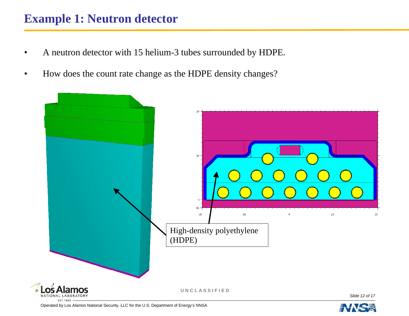#### **Example 1: Neutron detector**

- A neutron detector with 15 helium-3 tubes surrounded by HDPE.
- How does the count rate change as the HDPE density changes?



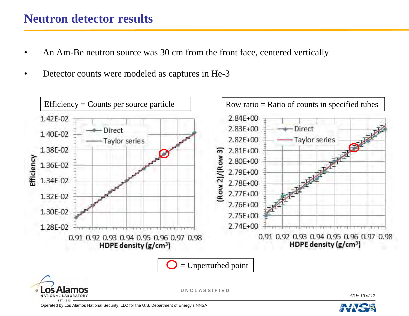#### **Neutron detector results**

- An Am-Be neutron source was 30 cm from the front face, centered vertically
- Detector counts were modeled as captures in He-3



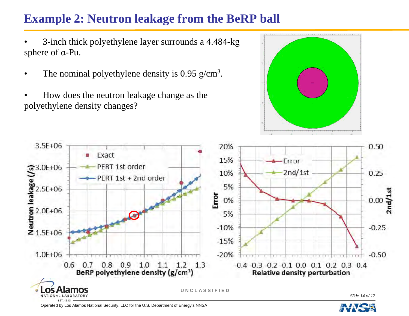## **Example 2: Neutron leakage from the BeRP ball**

• 3-inch thick polyethylene layer surrounds a 4.484-kg sphere of α-Pu.

- The nominal polyethylene density is  $0.95$  g/cm<sup>3</sup>.
- How does the neutron leakage change as the polyethylene density changes?



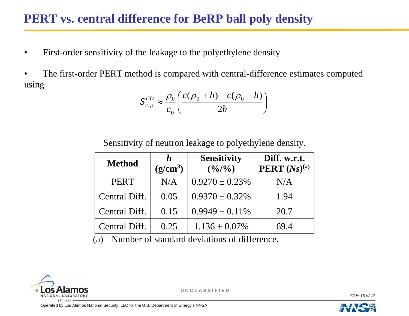## **PERT vs. central difference for BeRP ball poly density**

- First-order sensitivity of the leakage to the polyethylene density
- The first-order PERT method is compared with central-difference estimates computed using

$$
S_{c,\rho}^{CD} \approx \frac{\rho_0}{c_0} \left( \frac{c(\rho_0 + h) - c(\rho_0 - h)}{2h} \right)
$$

Sensitivity of neutron leakage to polyethylene density.

| <b>Method</b> | h<br>(g/cm <sup>3</sup> ) | <b>Sensitivity</b><br>$(\frac{0}{0}/\frac{0}{0})$ | Diff. w.r.t.<br><b>PERT</b> $(Ns)^{(a)}$ |
|---------------|---------------------------|---------------------------------------------------|------------------------------------------|
| <b>PERT</b>   | N/A                       | $0.9270 \pm 0.23\%$                               | N/A                                      |
| Central Diff. | 0.05                      | $0.9370 \pm 0.32\%$                               | 1.94                                     |
| Central Diff. | 0.15                      | $0.9949 \pm 0.11\%$                               | 20.7                                     |
| Central Diff. | 0.25                      | $1.136 \pm 0.07\%$                                | 69.4                                     |

(a) Number of standard deviations of difference.



**U N C L A S S I F I E D**

*Slide 15 of 17* 

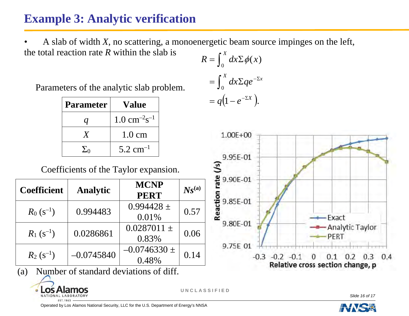## **Example 3: Analytic verification**

• A slab of width *X*, no scattering, a monoenergetic beam source impinges on the left, the total reaction rate *R* within the slab is

Parameters of the analytic slab problem.

| <b>Parameter</b> | <b>Value</b>                        |  |
|------------------|-------------------------------------|--|
|                  | $1.0 \text{ cm}^{-2} \text{s}^{-1}$ |  |
|                  | $1.0 \text{ cm}$                    |  |
| $\Sigma_0$       | $5.2$ cm <sup>-1</sup>              |  |

 $= q(1 - e^{-\Sigma X}).$  $\int_0 dx \Sigma \phi(x)$  $\rm 0$  $=\int_0^X dx \Sigma q e^{-\Sigma x}$  $R = \int_0^X dx \Sigma \phi(x)$ 



Coefficients of the Taylor expansion.

| <b>Coefficient</b> | <b>Analytic</b> | <b>MCNP</b><br><b>PERT</b> | $N_S^{(a)}$ |
|--------------------|-----------------|----------------------------|-------------|
| $R_0(s^{-1})$      | 0.994483        | $0.994428 \pm$<br>0.01%    | 0.57        |
| $R_1 (s^{-1})$     | 0.0286861       | $0.0287011 \pm$<br>0.83%   | 0.06        |
| $R_2(s^{-1})$      | $-0.0745840$    | $-0.0746330 \pm$<br>0.48%  | 0.14        |

(a) Number of standard deviations of diff.



**U N C L A S S I F I E D**

*Slide 16 of 17*